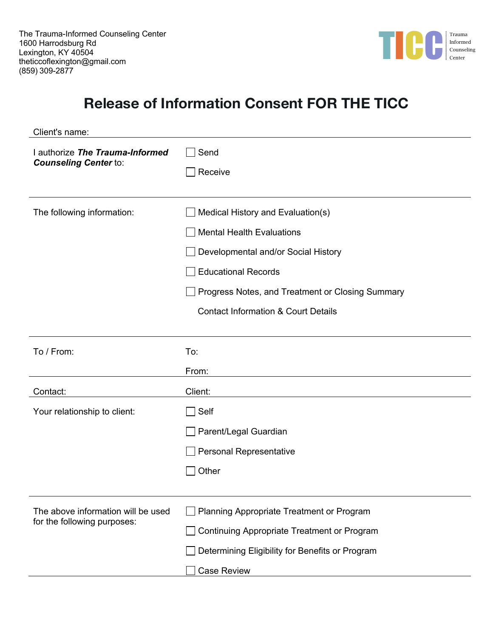

## **Release of Information Consent FOR THE TICC**

| Client's name:                                                    |                                                                                                                                                                                                                                                  |
|-------------------------------------------------------------------|--------------------------------------------------------------------------------------------------------------------------------------------------------------------------------------------------------------------------------------------------|
| I authorize The Trauma-Informed<br><b>Counseling Center to:</b>   | Send<br>Receive                                                                                                                                                                                                                                  |
| The following information:                                        | Medical History and Evaluation(s)<br><b>Mental Health Evaluations</b><br>Developmental and/or Social History<br><b>Educational Records</b><br>Progress Notes, and Treatment or Closing Summary<br><b>Contact Information &amp; Court Details</b> |
| To / From:                                                        | To:<br>From:                                                                                                                                                                                                                                     |
| Contact:                                                          | Client:                                                                                                                                                                                                                                          |
| Your relationship to client:                                      | Self<br>Parent/Legal Guardian<br>Personal Representative<br>Other                                                                                                                                                                                |
| The above information will be used<br>for the following purposes: | Planning Appropriate Treatment or Program<br>Continuing Appropriate Treatment or Program<br>Determining Eligibility for Benefits or Program<br><b>Case Review</b>                                                                                |